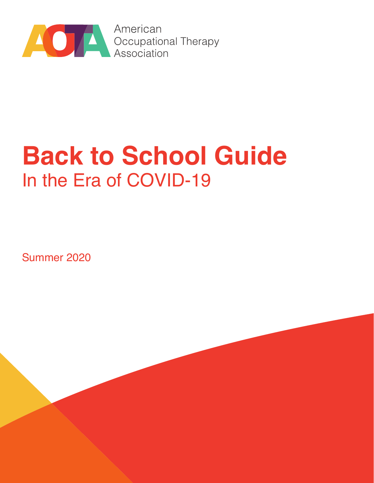

# **Back to School Guide** In the Era of COVID-19

Summer 2020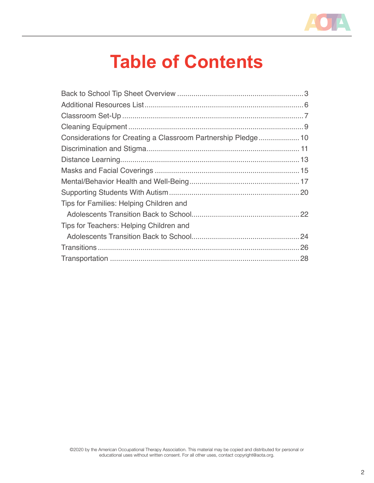

# **Table of Contents**

| Tips for Families: Helping Children and |  |
|-----------------------------------------|--|
|                                         |  |
| Tips for Teachers: Helping Children and |  |
|                                         |  |
|                                         |  |
|                                         |  |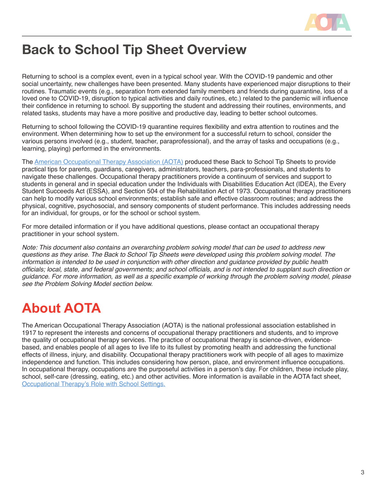

# **Back to School Tip Sheet Overview**

Returning to school is a complex event, even in a typical school year. With the COVID-19 pandemic and other social uncertainty, new challenges have been presented. Many students have experienced major disruptions to their routines. Traumatic events (e.g., separation from extended family members and friends during quarantine, loss of a loved one to COVID-19, disruption to typical activities and daily routines, etc.) related to the pandemic will influence their confidence in returning to school. By supporting the student and addressing their routines, environments, and related tasks, students may have a more positive and productive day, leading to better school outcomes.

Returning to school following the COVID-19 quarantine requires flexibility and extra attention to routines and the environment. When determining how to set up the environment for a successful return to school, consider the various persons involved (e.g., student, teacher, paraprofessional), and the array of tasks and occupations (e.g., learning, playing) performed in the environments.

The [American Occupational Therapy Association \(AOTA\)](https://www.aota.org) produced these Back to School Tip Sheets to provide practical tips for parents, guardians, caregivers, administrators, teachers, para-professionals, and students to navigate these challenges. Occupational therapy practitioners provide a continuum of services and support to students in general and in special education under the Individuals with Disabilities Education Act (IDEA), the Every Student Succeeds Act (ESSA), and Section 504 of the Rehabilitation Act of 1973. Occupational therapy practitioners can help to modify various school environments; establish safe and effective classroom routines; and address the physical, cognitive, psychosocial, and sensory components of student performance. This includes addressing needs for an individual, for groups, or for the school or school system.

For more detailed information or if you have additional questions, please contact an occupational therapy practitioner in your school system.

*Note: This document also contains an overarching problem solving model that can be used to address new questions as they arise. The Back to School Tip Sheets were developed using this problem solving model. The information is intended to be used in conjunction with other direction and guidance provided by public health*  officials; local, state, and federal governments; and school officials, and is not intended to supplant such direction or guidance. For more information, as well as a specific example of working through the problem solving model, please *see the Problem Solving Model section below.*

# **About AOTA**

The American Occupational Therapy Association (AOTA) is the national professional association established in 1917 to represent the interests and concerns of occupational therapy practitioners and students, and to improve the quality of occupational therapy services. The practice of occupational therapy is science-driven, evidencebased, and enables people of all ages to live life to its fullest by promoting health and addressing the functional effects of illness, injury, and disability. Occupational therapy practitioners work with people of all ages to maximize independence and function. This includes considering how person, place, and environment influence occupations. In occupational therapy, occupations are the purposeful activities in a person's day. For children, these include play, school, self-care (dressing, eating, etc.) and other activities. More information is available in the AOTA fact sheet, **[Occupational Therapy's Role with School Settings.](https://www.aota.org/~/media/Corporate/Files/AboutOT/Professionals/WhatIsOT/CY/Fact-Sheets/School%20Settings%20fact%20sheet.pdf)**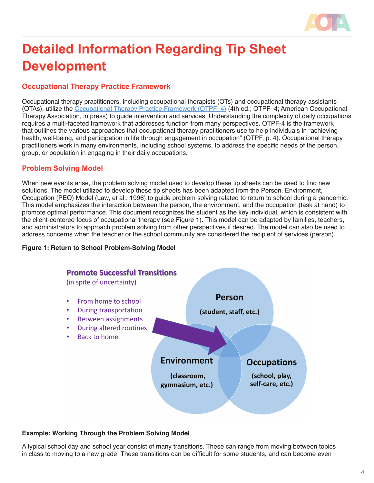

# **Detailed Information Regarding Tip Sheet Development**

# **Occupational Therapy Practice Framework**

Occupational therapy practitioners, including occupational therapists (OTs) and occupational therapy assistants (OTAs), utilize the [Occupational Therapy Practice Framework \(OTPF–4\)](https://www.aota.org/~/media/Corporate/Files/Secure/Practice/OfficialDocs/Guidelines/OTPF4_FINAL_for_web) (4th ed.; OTPF–4; American Occupational Therapy Association, in press) to guide intervention and services. Understanding the complexity of daily occupations requires a multi-faceted framework that addresses function from many perspectives. OTPF-4 is the framework that outlines the various approaches that occupational therapy practitioners use to help individuals in "achieving health, well-being, and participation in life through engagement in occupation" (OTPF, p. 4). Occupational therapy practitioners work in many environments, including school systems, to address the specific needs of the person, group, or population in engaging in their daily occupations.

#### **Problem Solving Model**

When new events arise, the problem solving model used to develop these tip sheets can be used to find new solutions. The model utilized to develop these tip sheets has been adapted from the Person, Environment, Occupation (PEO) Model (Law, et al., 1996) to guide problem solving related to return to school during a pandemic. This model emphasizes the interaction between the person, the environment, and the occupation (task at hand) to promote optimal performance. This document recognizes the student as the key individual, which is consistent with the client-centered focus of occupational therapy (see Figure 1). This model can be adapted by families, teachers, and administrators to approach problem solving from other perspectives if desired. The model can also be used to address concerns when the teacher or the school community are considered the recipient of services (person).

#### **Figure 1: Return to School Problem-Solving Model**



#### **Example: Working Through the Problem Solving Model**

A typical school day and school year consist of many transitions. These can range from moving between topics in class to moving to a new grade. These transitions can be difficult for some students, and can become even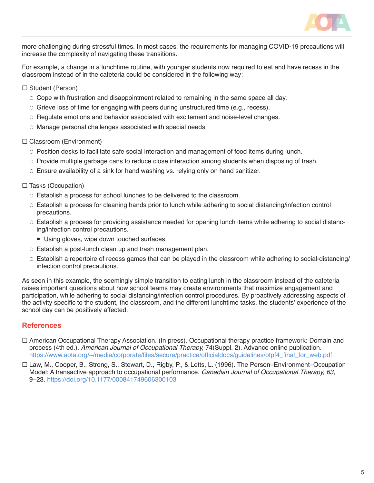

more challenging during stressful times. In most cases, the requirements for managing COVID-19 precautions will increase the complexity of navigating these transitions.

For example, a change in a lunchtime routine, with younger students now required to eat and have recess in the classroom instead of in the cafeteria could be considered in the following way:

 $\Box$  Student (Person)

- $\circ$  Cope with frustration and disappointment related to remaining in the same space all day.
- $\circ$  Grieve loss of time for engaging with peers during unstructured time (e.g., recess).
- $\circ$  Regulate emotions and behavior associated with excitement and noise-level changes.
- $\circ$  Manage personal challenges associated with special needs.

#### $\Box$  Classroom (Environment)

- $\circ$  Position desks to facilitate safe social interaction and management of food items during lunch.
- $\circ$  Provide multiple garbage cans to reduce close interaction among students when disposing of trash.
- $\circ$  Ensure availability of a sink for hand washing vs. relying only on hand sanitizer.

#### $\Box$  Tasks (Occupation)

- $\circ$  Establish a process for school lunches to be delivered to the classroom.
- $\circ$  Establish a process for cleaning hands prior to lunch while adhering to social distancing/infection control precautions.
- $\circ$  Establish a process for providing assistance needed for opening lunch items while adhering to social distancing/infection control precautions.
	- Using gloves, wipe down touched surfaces.
- $\circ$  Establish a post-lunch clean up and trash management plan.
- $\circ$  Establish a repertoire of recess games that can be played in the classroom while adhering to social-distancing/ infection control precautions.

As seen in this example, the seemingly simple transition to eating lunch in the classroom instead of the cafeteria raises important questions about how school teams may create environments that maximize engagement and participation, while adhering to social distancing/infection control procedures. By proactively addressing aspects of the activity specific to the student, the classroom, and the different lunchtime tasks, the students' experience of the school day can be positively affected.

#### **References**

- American Occupational Therapy Association. (In press). Occupational therapy practice framework: Domain and process (4th ed.). American Journal of Occupational Therapy, 74(Suppl. 2). Advance online publication. [https://www.aota.org/~/media/corporate/files/secure/practice/officialdocs/guidelines/otpf4\\_final\\_for\\_web.pdf](https://www.aota.org/~/media/corporate/files/secure/practice/officialdocs/guidelines/otpf4_final_for)
- Law, M., Cooper, B., Strong, S., Stewart, D., Rigby, P., & Letts, L. (1996). The Person–Environment–Occupation Model: A transactive approach to occupational performance. Canadian Journal of Occupational Therapy, 63, 9–23.<https://doi.org/10.1177/000841749606300103>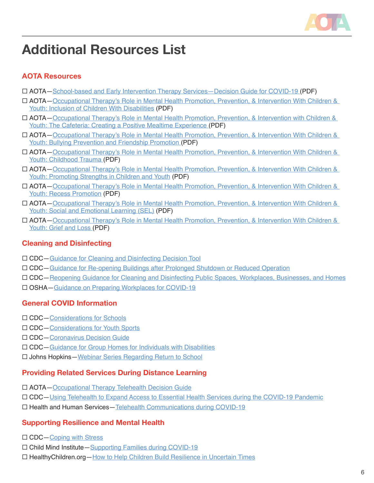

# **Additional Resources List**

# **AOTA Resources**

- AOTA[—School-based and Early Intervention Therapy Services—Decision Guide for COVID-19](https://www.aota.org/~/media/Corporate/Files/Practice/Health/COVID-Decision-Guide-School-Based-Early-Intervention.pdf) (PDF)
- AOTA—[Occupational Therapy's Role in Mental Health Promotion, Prevention, & Intervention With Children &](https://www.aota.org/~/media/Corporate/Files/Practice/Children/Inclusion-of-Children-With-Disabilities-20150128.PDF)  [Youth: Inclusion of Children With Disabilities](https://www.aota.org/~/media/Corporate/Files/Practice/Children/Inclusion-of-Children-With-Disabilities-20150128.PDF) (PDF)
- AOTA—[Occupational Therapy's Role in Mental Health Promotion, Prevention, & Intervention with Children &](https://www.aota.org/~/media/Corporate/Files/Practice/Children/Cafeteria-Mealtime-Info-Sheet.pdf)  [Youth: The Cafeteria: Creating a Positive Mealtime Experience](https://www.aota.org/~/media/Corporate/Files/Practice/Children/Cafeteria-Mealtime-Info-Sheet.pdf) (PDF)
- AOTA—[Occupational Therapy's Role in Mental Health Promotion, Prevention, & Intervention With Children &](https://www.aota.org/~/media/Corporate/Files/Practice/Children/SchoolMHToolkit/BullyingPreventionInfoSheet.pdf)  [Youth: Bullying Prevention and Friendship Promotion](https://www.aota.org/~/media/Corporate/Files/Practice/Children/SchoolMHToolkit/BullyingPreventionInfoSheet.pdf) (PDF)
- AOTA—[Occupational Therapy's Role in Mental Health Promotion, Prevention, & Intervention With Children &](https://www.aota.org/~/media/Corporate/Files/Practice/Children/Childhood-Trauma-Info-Sheet-2015.pdf)  [Youth: Childhood Trauma](https://www.aota.org/~/media/Corporate/Files/Practice/Children/Childhood-Trauma-Info-Sheet-2015.pdf) (PDF)
- AOTA—[Occupational Therapy's Role in Mental Health Promotion, Prevention, & Intervention With Children &](https://www.aota.org/~/media/Corporate/Files/Practice/Children/SchoolMHToolkit/Promoting%20Strengths%20REVISED.pdf)  [Youth: Promoting Strengths in Children and Youth](https://www.aota.org/~/media/Corporate/Files/Practice/Children/SchoolMHToolkit/Promoting%20Strengths%20REVISED.pdf) (PDF)
- AOTA—[Occupational Therapy's Role in Mental Health Promotion, Prevention, & Intervention With Children &](https://www.aota.org/~/media/Corporate/Files/Practice/Children/SchoolMHToolkit/Recess%20Promotion.pdf)  [Youth: Recess Promotion](https://www.aota.org/~/media/Corporate/Files/Practice/Children/SchoolMHToolkit/Recess%20Promotion.pdf) (PDF)
- AOTA—[Occupational Therapy's Role in Mental Health Promotion, Prevention, & Intervention With Children &](https://www.aota.org/~/media/Corporate/Files/Practice/Children/SchoolMHToolkit/Social-and-Emotional-Learning-Info-Sheet.pdf)  [Youth: Social and Emotional Learning \(SEL\)](https://www.aota.org/~/media/Corporate/Files/Practice/Children/SchoolMHToolkit/Social-and-Emotional-Learning-Info-Sheet.pdf) (PDF)
- AOTA—[Occupational Therapy's Role in Mental Health Promotion, Prevention, & Intervention With Children &](https://www.aota.org/~/media/Corporate/Files/Practice/Children/SchoolMHToolkit/Grief%20and%20Loss%20Final.PDF)  [Youth: Grief and Loss](https://www.aota.org/~/media/Corporate/Files/Practice/Children/SchoolMHToolkit/Grief%20and%20Loss%20Final.PDF) (PDF)

# **Cleaning and Disinfecting**

- CDC[—Guidance for Cleaning and Disinfecting Decision Tool](https://www.cdc.gov/coronavirus/2019-ncov/community/pdf/ReOpening_America_Cleaning_Disinfection_Decision_Tool.pdf)
- CDC[—Guidance for Re-opening Buildings after Prolonged Shutdown or Reduced Operation](https://www.cdc.gov/coronavirus/2019-ncov/php/building-water-system.html)
- CDC[—Reopening Guidance for Cleaning and Disinfecting Public Spaces, Workplaces, Businesses, and Homes](https://www.cdc.gov/coronavirus/2019-ncov/community/reopen-guidance.html)
- □ OSHA-Guidance on Preparing Workplaces for COVID-19

# **General COVID Information**

- □ CDC-Considerations for Schools
- □ CDC-Considerations for Youth Sports
- □ CDC-Coronavirus Decision Guide
- □ CDC-Guidance for Group Homes for Individuals with Disabilities
- □ Johns Hopkins[—Webinar Series Regarding Return to School](https://schoolhealth.jhu.edu/category/news/)

# **Providing Related Services During Distance Learning**

- AOTA[—Occupational Therapy Telehealth Decision Guide](https://www.aota.org/~/media/Corporate/Files/Practice/Manage/Occupational-Therapy-Telehealth-Decision-Guide.pdf)
- CDC[—Using Telehealth to Expand Access to Essential Health Services during the COVID-19 Pandemic](https://www.cdc.gov/coronavirus/2019-ncov/hcp/telehealth.html)
- $\Box$  Health and Human Services[—Telehealth Communications during COVID-19](https://www.hhs.gov/hipaa/for-professionals/special-topics/emergency-preparedness/notification-enforcement-discretion-telehealth/index.html)

#### **Supporting Resilience and Mental Health**

- □ CDC-Coping with Stress
- □ Child Mind Institute—[Supporting Families during COVID-19](https://childmind.org/coping-during-covid-19-resources-for-parents/)
- □ HealthyChildren.org-How to Help Children Build Resilience in Uncertain Times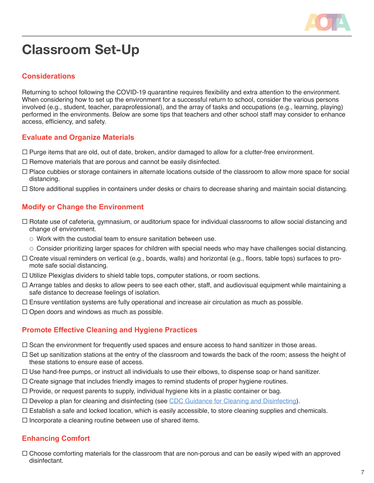

# **Classroom Set-Up**

### **Considerations**

Returning to school following the COVID-19 quarantine requires flexibility and extra attention to the environment. When considering how to set up the environment for a successful return to school, consider the various persons involved (e.g., student, teacher, paraprofessional), and the array of tasks and occupations (e.g., learning, playing) performed in the environments. Below are some tips that teachers and other school staff may consider to enhance access, efficiency, and safety.

#### **Evaluate and Organize Materials**

- $\Box$  Purge items that are old, out of date, broken, and/or damaged to allow for a clutter-free environment.
- $\Box$  Remove materials that are porous and cannot be easily disinfected.
- $\Box$  Place cubbies or storage containers in alternate locations outside of the classroom to allow more space for social distancing.
- $\Box$  Store additional supplies in containers under desks or chairs to decrease sharing and maintain social distancing.

# **Modify or Change the Environment**

- $\Box$  Rotate use of cafeteria, gymnasium, or auditorium space for individual classrooms to allow social distancing and change of environment.
	- $\circ$  Work with the custodial team to ensure sanitation between use.
	- $\circ$  Consider prioritizing larger spaces for children with special needs who may have challenges social distancing.
- $\Box$  Create visual reminders on vertical (e.g., boards, walls) and horizontal (e.g., floors, table tops) surfaces to promote safe social distancing.
- $\Box$  Utilize Plexiglas dividers to shield table tops, computer stations, or room sections.
- $\Box$  Arrange tables and desks to allow peers to see each other, staff, and audiovisual equipment while maintaining a safe distance to decrease feelings of isolation.
- $\Box$  Ensure ventilation systems are fully operational and increase air circulation as much as possible.
- $\Box$  Open doors and windows as much as possible.

#### **Promote Effective Cleaning and Hygiene Practices**

- $\Box$  Scan the environment for frequently used spaces and ensure access to hand sanitizer in those areas.
- $\Box$  Set up sanitization stations at the entry of the classroom and towards the back of the room; assess the height of these stations to ensure ease of access.
- $\Box$  Use hand-free pumps, or instruct all individuals to use their elbows, to dispense soap or hand sanitizer.
- $\Box$  Create signage that includes friendly images to remind students of proper hygiene routines.
- $\Box$  Provide, or request parents to supply, individual hygiene kits in a plastic container or bag.
- $\square$  Develop a plan for cleaning and disinfecting (see [CDC Guidance for Cleaning and Disinfecting](https://www.cdc.gov/coronavirus/2019-ncov/community/pdf/Reopening_America_Guidance.pdf#:~:text=Coronaviruses%20on%20surfaces%20and%20objects,and%20dirt%20from%20surfaces.)).
- $\Box$  Establish a safe and locked location, which is easily accessible, to store cleaning supplies and chemicals.
- $\Box$  Incorporate a cleaning routine between use of shared items.

#### **Enhancing Comfort**

 $\Box$  Choose comforting materials for the classroom that are non-porous and can be easily wiped with an approved disinfectant.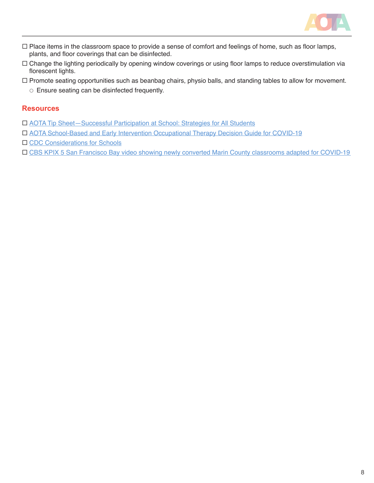

- Place items in the classroom space to provide a sense of comfort and feelings of home, such as floor lamps, plants, and floor coverings that can be disinfected.
- Change the lighting periodically by opening window coverings or using floor lamps to reduce overstimulation via florescent lights.
- Promote seating opportunities such as beanbag chairs, physio balls, and standing tables to allow for movement.
	- $\circ$  Ensure seating can be disinfected frequently.

- [AOTA Tip Sheet—Successful Participation at School: Strategies for All Students](https://www.aota.org/~/media/Corporate/Files/AboutOT/Professionals/WhatIsOT/CY/Tips-for-Educators-Successful-Participation-School-Strategies-for-All-Students.pdf)
- [AOTA School-Based and Early Intervention Occupational Therapy Decision Guide for COVID-19](https://www.aota.org/~/media/Corporate/Files/Practice/Health/COVID-Decision-Guide-School-Based-Early-Intervention.pdf)
- □ [CDC Considerations for Schools](https://www.cdc.gov/coronavirus/2019-ncov/community/schools-childcare/schools.html#anchor_1589932027380)
- [CBS KPIX 5 San Francisco Bay video showing newly converted Marin County classrooms adapted for COVID-19](https://sanfrancisco.cbslocal.com/2020/05/18/coronavirus-converted-marin-county-classrooms-show-how-learning-will-adapt-to-covid-19/)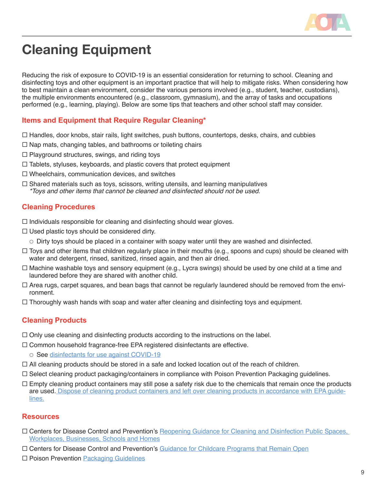

# **Cleaning Equipment**

Reducing the risk of exposure to COVID-19 is an essential consideration for returning to school. Cleaning and disinfecting toys and other equipment is an important practice that will help to mitigate risks. When considering how to best maintain a clean environment, consider the various persons involved (e.g., student, teacher, custodians), the multiple environments encountered (e.g., classroom, gymnasium), and the array of tasks and occupations performed (e.g., learning, playing). Below are some tips that teachers and other school staff may consider.

# **Items and Equipment that Require Regular Cleaning\***

- $\Box$  Handles, door knobs, stair rails, light switches, push buttons, countertops, desks, chairs, and cubbies
- $\Box$  Nap mats, changing tables, and bathrooms or toileting chairs
- $\Box$  Playground structures, swings, and riding toys
- $\Box$  Tablets, styluses, keyboards, and plastic covers that protect equipment
- $\Box$  Wheelchairs, communication devices, and switches
- $\Box$  Shared materials such as toys, scissors, writing utensils, and learning manipulatives *\*Toys and other items that cannot be cleaned and disinfected should not be used.*

#### **Cleaning Procedures**

- $\Box$  Individuals responsible for cleaning and disinfecting should wear gloves.
- $\Box$  Used plastic toys should be considered dirty.
	- $\circ$  Dirty toys should be placed in a container with soapy water until they are washed and disinfected.
- $\Box$  Toys and other items that children regularly place in their mouths (e.g., spoons and cups) should be cleaned with water and detergent, rinsed, sanitized, rinsed again, and then air dried.
- $\Box$  Machine washable toys and sensory equipment (e.g., Lycra swings) should be used by one child at a time and laundered before they are shared with another child.
- $\Box$  Area rugs, carpet squares, and bean bags that cannot be regularly laundered should be removed from the environment.
- $\Box$  Thoroughly wash hands with soap and water after cleaning and disinfecting toys and equipment.

# **Cleaning Products**

- $\Box$  Only use cleaning and disinfecting products according to the instructions on the label.
- □ Common household fragrance-free EPA registered disinfectants are effective.
	- See [disinfectants for use against COVID-19](https://www.epa.gov/pesticide-registration/list-n-disinfectants-use-against-sars-cov-2-covid-19)
- $\Box$  All cleaning products should be stored in a safe and locked location out of the reach of children.
- $\Box$  Select cleaning product packaging/containers in compliance with Poison Prevention Packaging guidelines.
- $\Box$  Empty cleaning product containers may still pose a safety risk due to the chemicals that remain once the products are used. [Dispose of cleaning product containers and left over cleaning products in accordance with EPA guide](https://www.epa.gov/hw/household-hazardous-waste-hhw)[lines.](https://www.epa.gov/hw/household-hazardous-waste-hhw)

- Centers for Disease Control and Prevention's [Reopening Guidance for Cleaning and Disinfection Public Spaces,](https://www.cdc.gov/coronavirus/2019-ncov/community/reopen-guidance.html)  [Workplaces, Businesses, Schools and Homes](https://www.cdc.gov/coronavirus/2019-ncov/community/reopen-guidance.html)
- Centers for Disease Control and Prevention's [Guidance for Childcare Programs that Remain Open](https://www.cdc.gov/coronavirus/2019-ncov/community/schools-childcare/guidance-for-childcare.html)
- $\square$  Poison Prevention Packaging Guidelines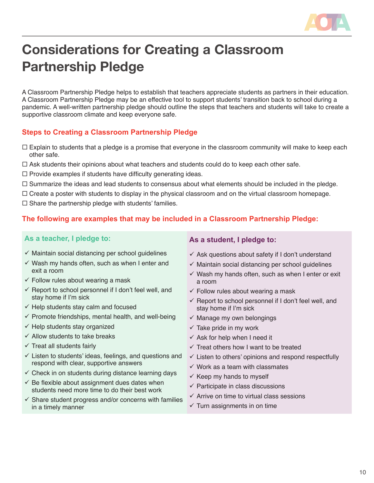

# **Considerations for Creating a Classroom Partnership Pledge**

A Classroom Partnership Pledge helps to establish that teachers appreciate students as partners in their education. A Classroom Partnership Pledge may be an effective tool to support students' transition back to school during a pandemic. A well-written partnership pledge should outline the steps that teachers and students will take to create a supportive classroom climate and keep everyone safe.

# **Steps to Creating a Classroom Partnership Pledge**

- Explain to students that a pledge is a promise that everyone in the classroom community will make to keep each other safe.
- $\Box$  Ask students their opinions about what teachers and students could do to keep each other safe.
- $\square$  Provide examples if students have difficulty generating ideas.
- Summarize the ideas and lead students to consensus about what elements should be included in the pledge.
- $\Box$  Create a poster with students to display in the physical classroom and on the virtual classroom homepage.

 $\square$  Share the partnership pledge with students' families.

# **The following are examples that may be included in a Classroom Partnership Pledge:**

### **As a teacher, I pledge to:**

- $\checkmark$  Maintain social distancing per school guidelines
- $\checkmark$  Wash my hands often, such as when I enter and exit a room
- $\checkmark$  Follow rules about wearing a mask
- $\checkmark$  Report to school personnel if I don't feel well, and stay home if I'm sick
- $\checkmark$  Help students stay calm and focused
- $\checkmark$  Promote friendships, mental health, and well-being
- $\checkmark$  Help students stay organized
- $\checkmark$  Allow students to take breaks
- $\checkmark$  Treat all students fairly
- $\checkmark$  Listen to students' ideas, feelings, and questions and respond with clear, supportive answers
- $\checkmark$  Check in on students during distance learning days
- $\checkmark$  Be flexible about assignment dues dates when students need more time to do their best work
- $\checkmark$  Share student progress and/or concerns with families in a timely manner

#### **As a student, I pledge to:**

- $\checkmark$  Ask questions about safety if I don't understand
- $\checkmark$  Maintain social distancing per school guidelines
- $\checkmark$  Wash my hands often, such as when I enter or exit a room
- $\checkmark$  Follow rules about wearing a mask
- $\checkmark$  Report to school personnel if I don't feel well, and stay home if I'm sick
- $\checkmark$  Manage my own belongings
- $\checkmark$  Take pride in my work
- $\checkmark$  Ask for help when I need it
- $\checkmark$  Treat others how I want to be treated
- $\checkmark$  Listen to others' opinions and respond respectfully
- $\checkmark$  Work as a team with classmates
- $\checkmark$  Keep my hands to myself
- $\checkmark$  Participate in class discussions
- $\checkmark$  Arrive on time to virtual class sessions
- $\checkmark$  Turn assignments in on time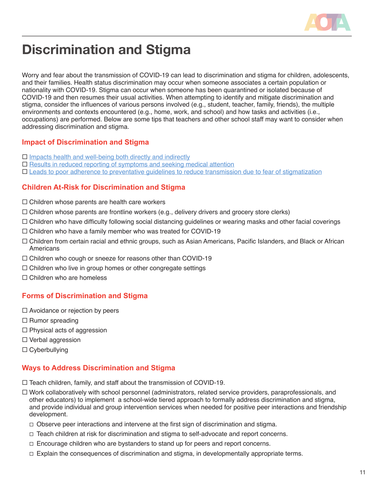

# **Discrimination and Stigma**

Worry and fear about the transmission of COVID-19 can lead to discrimination and stigma for children, adolescents, and their families. Health status discrimination may occur when someone associates a certain population or nationality with COVID-19. Stigma can occur when someone has been quarantined or isolated because of COVID-19 and then resumes their usual activities. When attempting to identify and mitigate discrimination and stigma, consider the influences of various persons involved (e.g., student, teacher, family, friends), the multiple environments and contexts encountered (e.g., home, work, and school) and how tasks and activities (i.e., occupations) are performed. Below are some tips that teachers and other school staff may want to consider when addressing discrimination and stigma.

#### **Impact of Discrimination and Stigma**

- $\square$  [Impacts health and well-being both directly and indirectly](https://www.aota.org/~/media/Corporate/Files/Practice/Guide-Acknowledging-Impact-Discrimination-Stigma-Implicit-Bias.pdf)
- $\Box$  [Results in reduced reporting of symptoms and seeking medical attention](https://www.who.int/westernpacific/emergencies/covid-19/information/social-stigma-discrimination)
- [Leads to poor adherence to preventative guidelines to reduce transmission due to fear of stigmatization](https://www.who.int/westernpacific/emergencies/covid-19/information/social-stigma-discrimination)

# **Children At-Risk for Discrimination and Stigma**

- $\Box$  Children whose parents are health care workers
- $\Box$  Children whose parents are frontline workers (e.g., delivery drivers and grocery store clerks)
- $\Box$  Children who have difficulty following social distancing guidelines or wearing masks and other facial coverings
- $\Box$  Children who have a family member who was treated for COVID-19
- Children from certain racial and ethnic groups, such as Asian Americans, Pacific Islanders, and Black or African Americans
- $\Box$  Children who cough or sneeze for reasons other than COVID-19
- $\Box$  Children who live in group homes or other congregate settings
- Children who are homeless

# **Forms of Discrimination and Stigma**

- $\Box$  Avoidance or rejection by peers
- $\Box$  Rumor spreading
- $\Box$  Physical acts of aggression
- $\square$  Verbal aggression
- $\Box$  Cyberbullying

# **Ways to Address Discrimination and Stigma**

- $\Box$  Teach children, family, and staff about the transmission of COVID-19.
- Work collaboratively with school personnel (administrators, related service providers, paraprofessionals, and other educators) to implement a school-wide tiered approach to formally address discrimination and stigma, and provide individual and group intervention services when needed for positive peer interactions and friendship development.
	- $\Box$  Observe peer interactions and intervene at the first sign of discrimination and stigma.
	- $\Box$  Teach children at risk for discrimination and stigma to self-advocate and report concerns.
	- $\Box$  Encourage children who are bystanders to stand up for peers and report concerns.
	- $\Box$  Explain the consequences of discrimination and stigma, in developmentally appropriate terms.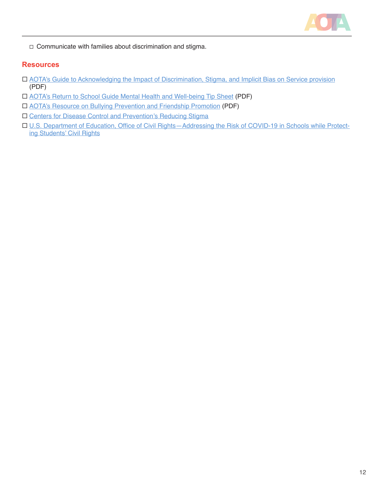

 $\Box$  Communicate with families about discrimination and stigma.

- [AOTA's Guide to Acknowledging the Impact of Discrimination, Stigma, and Implicit Bias on Service provision](https://www.aota.org/~/media/Corporate/Files/Practice/Guide-Acknowledging-Impact-Discrimination-Stigma-Implicit-Bias.pdf) (PDF)
- [AOTA's Return to School Guide Mental Health and Well-being Tip Sheet](https://www.aota.org/~/media/Corporate/Files/Practice/back-to-school/Mental-Health-Behavior-and-Well-being.pdf) (PDF)
- [AOTA's Resource on Bullying Prevention and Friendship Promotion](https://www.aota.org/~/media/Corporate/Files/Practice/Children/SchoolMHToolkit/BullyingPreventionInfoSheet.pdf) (PDF)
- [Centers for Disease Control and Prevention's Reducing Stigma](https://www.cdc.gov/coronavirus/2019-ncov/daily-life-coping/reducing-stigma.html)
- [U.S. Department of Education, Office of Civil Rights—Addressing the Risk of COVID-19 in Schools while Protect](https://www2.ed.gov/about/offices/list/ocr/docs/ocr-coronavirus-fact-sheet.pdf)[ing Students' Civil Rights](https://www2.ed.gov/about/offices/list/ocr/docs/ocr-coronavirus-fact-sheet.pdf)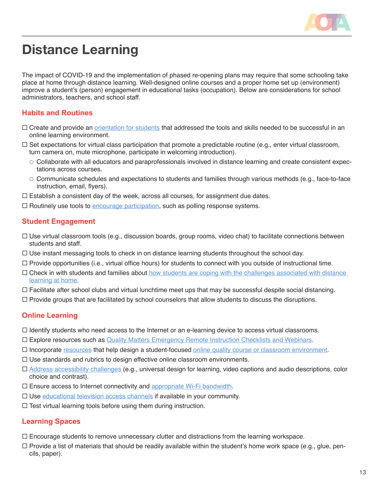

# **Distance Learning**

The impact of COVID-19 and the implementation of phased re-opening plans may require that some schooling take place at home through distance learning. Well-designed online courses and a proper home set up (environment) improve a student's (person) engagement in educational tasks (occupation). Below are considerations for school administrators, teachers, and school staff.

### **Habits and Routines**

- $\Box$  Create and provide an <u>orientation for students</u> that addressed the tools and skills needed to be successful in an online learning environment.
- $\Box$  Set expectations for virtual class participation that promote a predictable routine (e.g., enter virtual classroom, turn camera on, mute microphone, participate in welcoming introduction).
	- $\circ$  Collaborate with all educators and paraprofessionals involved in distance learning and create consistent expectations across courses.
	- $\circ$  Communicate schedules and expectations to students and families through various methods (e.g., face-to-face instruction, email, flyers).
- $\Box$  Establish a consistent day of the week, across all courses, for assignment due dates.
- $\Box$  Routinely use tools to [encourage participation](http://teachingcenter.wustl.edu/resources/teaching-methods/participation/increasing-student-participation/), such as polling response systems.

#### **Student Engagement**

- $\Box$  Use virtual classroom tools (e.g., discussion boards, group rooms, video chat) to facilitate connections between students and staff.
- $\Box$  Use instant messaging tools to check in on distance learning students throughout the school day.
- $\Box$  Provide opportunities (i.e., virtual office hours) for students to connect with you outside of instructional time.
- $\Box$  Check in with students and families about how students are coping with the challenges associated with distance [learning at home](https://www.counseling.org/news/aca-blogs/aca-member-blogs/aca-member-blogs/2020/04/30/student-mental-health-distance-learning-during-covid).
- $\Box$  Facilitate after school clubs and virtual lunchtime meet ups that may be successful despite social distancing.
- $\Box$  Provide groups that are facilitated by school counselors that allow students to discuss the disruptions.

#### **Online Learning**

- $\Box$  Identify students who need access to the Internet or an e-learning device to access virtual classrooms.
- Explore resources such as [Quality Matters Emergency Remote Instruction Checklists and Webinars.](https://www.qualitymatters.org/qa-resources/resource-center/articles-resources/ERI-Checklist)
- $\Box$  Incorporate [resources](https://www.youtube.com/watch?v=2oPRg6G_QBM&list=PLadhF1mf7NHHWNPvAAIK-TiG8l8v3J5w1&index=4&t=0s) that help design a student-focused [online quality course or classroom environment.](https://www.qualitymatters.org/qa-resources/resource-center/articles-resources/K-12-Bridge-Guide-get-access)
- $\Box$  Use standards and rubrics to design effective online classroom environments.
- [Address accessibility challenges](https://www.qualitymatters.org/qa-resources/resource-center/articles-resources/accessibility-resource-site) (e.g., universal design for learning, video captions and audio descriptions, color choice and contrast).
- $\square$  Ensure access to Internet connectivity and [appropriate Wi-Fi bandwidth.](https://www.qualitymatters.org/qa-resources/resource-center/articles-resources/higher-ed-remote-teaching-tips)
- $\square$  Use [educational television access channels](https://www.baltimorecityschools.org/distance-learning) if available in your community.
- $\Box$  Test virtual learning tools before using them during instruction.

#### **Learning Spaces**

- $\Box$  Encourage students to remove unnecessary clutter and distractions from the learning workspace.
- $\Box$  Provide a list of materials that should be readily available within the student's home work space (e.g., glue, pencils, paper).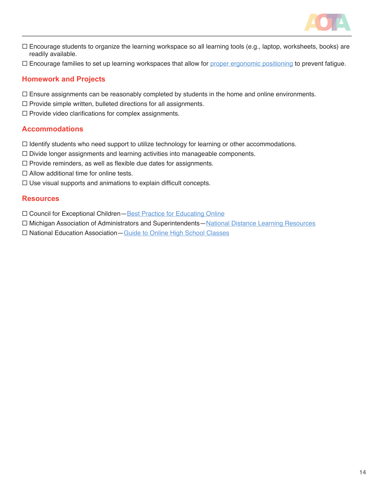

- Encourage students to organize the learning workspace so all learning tools (e.g., laptop, worksheets, books) are readily available.
- □ Encourage families to set up learning workspaces that allow for [proper ergonomic positioning](https://www.aota.org/~/media/Corporate/Files/Practice/Manage/Home-Office-Ergonomics-Tips.pdf) to prevent fatigue.

#### **Homework and Projects**

- $\Box$  Ensure assignments can be reasonably completed by students in the home and online environments.
- $\Box$  Provide simple written, bulleted directions for all assignments.
- $\square$  Provide video clarifications for complex assignments.

#### **Accommodations**

- $\Box$  Identify students who need support to utilize technology for learning or other accommodations.
- Divide longer assignments and learning activities into manageable components.
- $\Box$  Provide reminders, as well as flexible due dates for assignments.
- $\Box$  Allow additional time for online tests.
- $\Box$  Use visual supports and animations to explain difficult concepts.

- □ Council for Exceptional Children-Best Practice for Educating Online
- □ Michigan Association of Administrators and Superintendents—National Distance Learning Resources
- □ National Education Association–[Guide to Online High School Classes](http://www.nea.org/assets/docs/onlinecourses.pdf)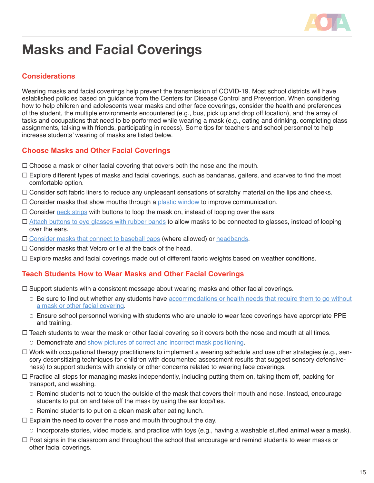

# **Masks and Facial Coverings**

# **Considerations**

Wearing masks and facial coverings help prevent the transmission of COVID-19. Most school districts will have established policies based on guidance from the Centers for Disease Control and Prevention. When considering how to help children and adolescents wear masks and other face coverings, consider the health and preferences of the student, the multiple environments encountered (e.g., bus, pick up and drop off location), and the array of tasks and occupations that need to be performed while wearing a mask (e.g., eating and drinking, completing class assignments, talking with friends, participating in recess). Some tips for teachers and school personnel to help increase students' wearing of masks are listed below.

# **Choose Masks and Other Facial Coverings**

- $\Box$  Choose a mask or other facial covering that covers both the nose and the mouth.
- $\Box$  Explore different types of masks and facial coverings, such as bandanas, gaiters, and scarves to find the most comfortable option.
- $\Box$  Consider soft fabric liners to reduce any unpleasant sensations of scratchy material on the lips and cheeks.
- $\Box$  Consider masks that show mouths through a [plastic window](https://www.latimes.com/world-nation/story/2020-06-12/face-masks-with-windows-mean-more-than-smiles-to-deaf-people) to improve communication.
- $\Box$  Consider [neck strips](https://weddingshop.theknot.com/product/face-mask-extender-straps-set-of-2?msclkid=%7bmsclkid%7d&utm_source=bing&utm_medium=cpc&utm_campaign=The%20Knot%20Shopping%20Campaign&utm_term=4574793009528658&utm_content=The%20Knot%20Products) with buttons to loop the mask on, instead of looping over the ears.
- $\Box$  [Attach buttons to eye glasses with rubber bands](https://www.gif-vif.com/gifs/Lifehack-128) to allow masks to be connected to glasses, instead of looping over the ears.
- $\square$  [Consider masks that connect to baseball caps](https://www.facebook.com/mymind0/photos/a.2230434017210391/2550398541880602/) (where allowed) or [headbands](https://www.pinterest.com/pin/113364115609397800/).
- $\Box$  Consider masks that Velcro or tie at the back of the head.
- $\Box$  Explore masks and facial coverings made out of different fabric weights based on weather conditions.

#### **Teach Students How to Wear Masks and Other Facial Coverings**

 $\Box$  Support students with a consistent message about wearing masks and other facial coverings.

- $\circ$  Be sure to find out whether any students have  $\alpha$  accommodations or health needs that require them to go without [a mask or other facial covering.](https://www.cdc.gov/coronavirus/2019-ncov/community/schools-childcare/schools-faq.html#Administrators)
- $\circ$  Ensure school personnel working with students who are unable to wear face coverings have appropriate PPE and training.
- $\Box$  Teach students to wear the mask or other facial covering so it covers both the nose and mouth at all times.
	- $\circ$  Demonstrate and [show pictures of correct and incorrect mask positioning](https://paautism.org/resource/wearing-mask-social-story/).
- $\Box$  Work with occupational therapy practitioners to implement a wearing schedule and use other strategies (e.g., sensory desensitizing techniques for children with documented assessment results that suggest sensory defensiveness) to support students with anxiety or other concerns related to wearing face coverings.
- $\Box$  Practice all steps for managing masks independently, including putting them on, taking them off, packing for transport, and washing.
	- $\circ$  Remind students not to touch the outside of the mask that covers their mouth and nose. Instead, encourage students to put on and take off the mask by using the ear loop/ties.
	- $\circ$  Remind students to put on a clean mask after eating lunch.
- $\Box$  Explain the need to cover the nose and mouth throughout the day.
	- $\circ$  Incorporate stories, video models, and practice with toys (e.g., having a washable stuffed animal wear a mask).
- $\Box$  Post signs in the classroom and throughout the school that encourage and remind students to wear masks or other facial coverings.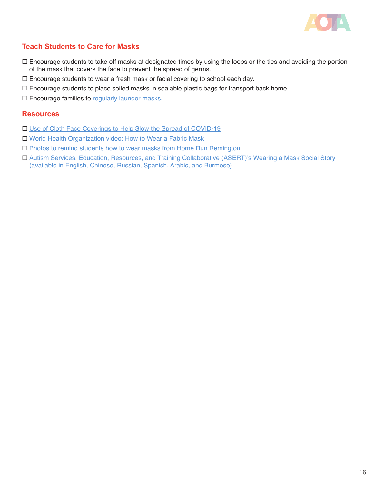

### **Teach Students to Care for Masks**

- Encourage students to take off masks at designated times by using the loops or the ties and avoiding the portion of the mask that covers the face to prevent the spread of germs.
- $\Box$  Encourage students to wear a fresh mask or facial covering to school each day.
- $\Box$  Encourage students to place soiled masks in sealable plastic bags for transport back home.
- $\square$  Encourage families to [regularly launder masks](https://newsnetwork.mayoclinic.org/discussion/tips-on-how-to-wear-and-care-for-your-cloth-mask/).

- □ [Use of Cloth Face Coverings to Help Slow the Spread of COVID-19](https://www.cdc.gov/coronavirus/2019-ncov/prevent-getting-sick/diy-cloth-face-coverings.html)
- [World Health Organization video: How to Wear a Fabric Mask](https://www.youtube.com/watch?v=ciUniZGD4tY)
- [Photos to remind students how to wear masks from Home Run Remington](https://www.facebook.com/homerunremington/photos/a.1802580596650347/2718899651685099/?type=3)
- [Autism Services, Education, Resources, and Training Collaborative \(ASERT\)'s Wearing a Mask Social Story](https://paautism.org/resource/wearing-mask-social-story/)  [\(available in English, Chinese, Russian, Spanish, Arabic, and Burmese\)](https://paautism.org/resource/wearing-mask-social-story/)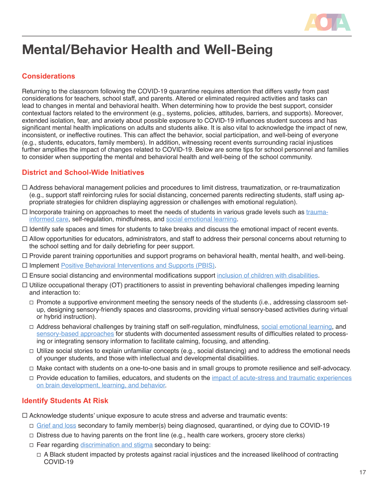

# **Mental/Behavior Health and Well-Being**

# **Considerations**

Returning to the classroom following the COVID-19 quarantine requires attention that differs vastly from past considerations for teachers, school staff, and parents. Altered or eliminated required activities and tasks can lead to changes in mental and behavioral health. When determining how to provide the best support, consider contextual factors related to the environment (e.g., systems, policies, attitudes, barriers, and supports). Moreover, extended isolation, fear, and anxiety about possible exposure to COVID-19 influences student success and has significant mental health implications on adults and students alike. It is also vital to acknowledge the impact of new, inconsistent, or ineffective routines. This can affect the behavior, social participation, and well-being of everyone (e.g., students, educators, family members). In addition, witnessing recent events surrounding racial injustices further amplifies the impact of changes related to COVID-19. Below are some tips for school personnel and families to consider when supporting the mental and behavioral health and well-being of the school community.

# **District and School-Wide Initiatives**

- Address behavioral management policies and procedures to limit distress, traumatization, or re-traumatization (e.g., support staff reinforcing rules for social distancing, concerned parents redirecting students, staff using appropriate strategies for children displaying aggression or challenges with emotional regulation).
- $\Box$  Incorporate training on approaches to meet the needs of students in various grade levels such as [trauma](https://www.aota.org/~/media/Corporate/Files/Publications/CE-Articles/CE-Article-May-2019-Trauma)[informed care](https://www.aota.org/~/media/Corporate/Files/Publications/CE-Articles/CE-Article-May-2019-Trauma), self-regulation, mindfulness, and [social emotional learning.](https://www.aota.org/~/media/Corporate/Files/Practice/Children/SchoolMHToolkit/Social-and-Emotional-Learning-Info-Sheet.pdf)
- $\Box$  Identify safe spaces and times for students to take breaks and discuss the emotional impact of recent events.
- Allow opportunities for educators, administrators, and staff to address their personal concerns about returning to the school setting and for daily debriefing for peer support.
- $\Box$  Provide parent training opportunities and support programs on behavioral health, mental health, and well-being.
- □ Implement [Positive Behavioral Interventions and Supports \(PBIS\)](https://www.pbis.org).
- $\Box$  Ensure social distancing and environmental modifications support [inclusion of children with disabilities.](https://www.aota.org/~/media/Corporate/Files/Practice/Children/Inclusion-of-Children-With-Disabilities-20150128.PDF)
- $\Box$  Utilize occupational therapy (OT) practitioners to assist in preventing behavioral challenges impeding learning and interaction to:
	- $\Box$  Promote a supportive environment meeting the sensory needs of the students (i.e., addressing classroom setup, designing sensory-friendly spaces and classrooms, providing virtual sensory-based activities during virtual or hybrid instruction).
	- Address behavioral challenges by training staff on self-regulation, mindfulness, [social emotional learning,](https://www.aota.org/~/media/Corporate/Files/Practice/Children/SchoolMHToolkit/Social-and-Emotional-Learning-Info-Sheet.pdf) and [sensory-based approaches](https://www.choosingwisely.org/clinician-lists/aota-sensory-based-interventions-for-children-without-assessment/) for students with documented assessment results of difficulties related to processing or integrating sensory information to facilitate calming, focusing, and attending.
	- $\Box$  Utilize social stories to explain unfamiliar concepts (e.g., social distancing) and to address the emotional needs of younger students, and those with intellectual and developmental disabilities.
	- Make contact with students on a one-to-one basis and in small groups to promote resilience and self-advocacy.
	- □ Provide education to families, educators, and students on the impact of acute-stress and traumatic experiences [on brain development, learning, and behavior](https://developingchild.harvard.edu/wp-content/uploads/2005/05/Stress_Disrupts_Architecture_Developing_Brain-1.pdf).

#### **Identify Students At Risk**

 $\Box$  Acknowledge students' unique exposure to acute stress and adverse and traumatic events:

- □ [Grief and loss](https://www.aota.org/~/media/Corporate/Files/Practice/Children/SchoolMHToolkit/Grief%20and%20Loss%20Final.PDF) secondary to family member(s) being diagnosed, quarantined, or dying due to COVID-19
- $\Box$  Distress due to having parents on the front line (e.g., health care workers, grocery store clerks)
- $\Box$  Fear regarding [discrimination and stigma](https://www2.ed.gov/about/offices/list/ocr/docs/ocr-coronavirus-fact-sheet.pdf) secondary to being:
	- $\Box$  A Black student impacted by protests against racial injustices and the increased likelihood of contracting COVID-19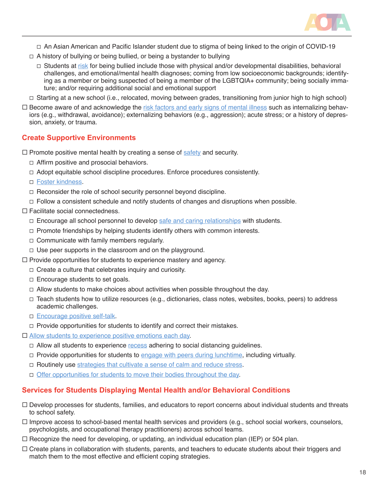

- An Asian American and Pacific Islander student due to stigma of being linked to the origin of COVID-19
- $\Box$  A history of bullying or being bullied, or being a bystander to bullying
	- $\Box$  Students at [risk](https://www.aota.org/~/media/Corporate/Files/Practice/Children/SchoolMHToolkit/BullyingPreventionInfoSheet.pdf) for being bullied include those with physical and/or developmental disabilities, behavioral challenges, and emotional/mental health diagnoses; coming from low socioeconomic backgrounds; identifying as a member or being suspected of being a member of the LGBTQIA+ community; being socially immature; and/or requiring additional social and emotional support
- Starting at a new school (i.e., relocated, moving between grades, transitioning from junior high to high school)

 $\Box$  Become aware of and acknowledge the [risk factors and early signs of mental illness](https://www.aota.org/~/media/Corporate/Files/Publications/CE-Articles/CE-Article-March-2017.pd) such as internalizing behaviors (e.g., withdrawal, avoidance); externalizing behaviors (e.g., aggression); acute stress; or a history of depression, anxiety, or trauma.

#### **Create Supportive Environments**

 $\Box$  Promote positive mental health by creating a sense of  $\frac{\text{safety}}{\text{and} \text{security}}$ .

- $\Box$  Affirm positive and prosocial behaviors.
- $\Box$  Adopt equitable school discipline procedures. Enforce procedures consistently.
- □ [Foster kindness](https://everymomentcounts.org/view.php?nav_id=176).
- $\Box$  Reconsider the role of school security personnel beyond discipline.
- $\Box$  Follow a consistent schedule and notify students of changes and disruptions when possible.
- $\Box$  Facilitate social connectedness.
	- $\Box$  Encourage all school personnel to develop [safe and caring relationships](https://everymomentcounts.org/view.php?nav_id=168) with students.
	- $\Box$  Promote friendships by helping students identify others with common interests.
	- $\Box$  Communicate with family members regularly.
	- $\Box$  Use peer supports in the classroom and on the playground.
- $\Box$  Provide opportunities for students to experience mastery and agency.
	- $\Box$  Create a culture that celebrates inquiry and curiosity.
	- $\Box$  Encourage students to set goals.
	- $\Box$  Allow students to make choices about activities when possible throughout the day.
	- $\Box$  Teach students how to utilize resources (e.g., dictionaries, class notes, websites, books, peers) to address academic challenges.
	- □ [Encourage positive self-talk](https://everymomentcounts.org/view.php?nav_id=175).
	- $\Box$  Provide opportunities for students to identify and correct their mistakes.
- □ [Allow students to experience positive emotions each day](https://everymomentcounts.org/view.php?nav_id=170).
	- $\Box$  Allow all students to experience [recess](https://www.aota.org/~/media/Corporate/Files/Practice/Children/SchoolMHToolkit/Recess%20Promotion.pdf) adhering to social distancing guidelines.
	- $\Box$  Provide opportunities for students to [engage with peers during lunchtime,](https://www.aota.org/~/media/Corporate/Files/Practice/Children/Cafeteria-Mealtime-Info-Sheet.pdf) including virtually.
	- □ Routinely use [strategies that cultivate a sense of calm and reduce stress.](https://everymomentcounts.org/view.php?nav_id=170)
	- $\Box$  [Offer opportunities for students to move their bodies throughout the day](https://everymomentcounts.org/view.php?nav_id=172).

#### **Services for Students Displaying Mental Health and/or Behavioral Conditions**

- $\Box$  Develop processes for students, families, and educators to report concerns about individual students and threats to school safety.
- $\Box$  Improve access to school-based mental health services and providers (e.g., school social workers, counselors, psychologists, and occupational therapy practitioners) across school teams.
- $\Box$  Recognize the need for developing, or updating, an individual education plan (IEP) or 504 plan.
- $\Box$  Create plans in collaboration with students, parents, and teachers to educate students about their triggers and match them to the most effective and efficient coping strategies.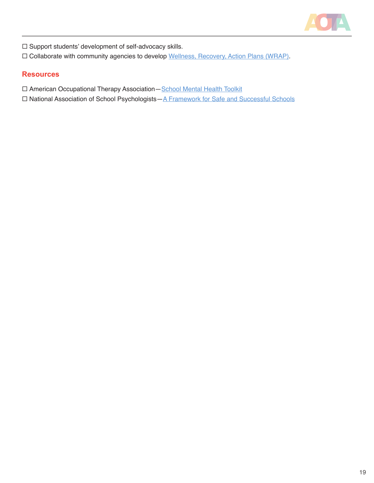

 $\square$  Support students' development of self-advocacy skills.

Collaborate with community agencies to develop [Wellness, Recovery, Action Plans \(WRAP\)](https://namiillinois.org/wellness-recovery-action-plan-wrap/).

#### **Resources**

□ American Occupational Therapy Association–School Mental Health Toolkit

□ National Association of School Psychologists - [A Framework for Safe and Successful Schools](https://www.naesp.org/sites/default/files/Framework%20for%20Safe%20and%20Successful%20School%20Environments_FINAL_0.pdf)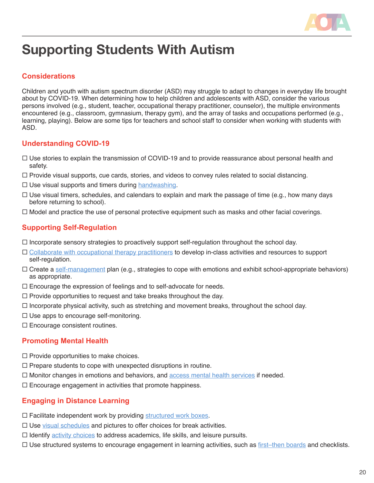

# **Supporting Students With Autism**

# **Considerations**

Children and youth with autism spectrum disorder (ASD) may struggle to adapt to changes in everyday life brought about by COVID-19. When determining how to help children and adolescents with ASD, consider the various persons involved (e.g., student, teacher, occupational therapy practitioner, counselor), the multiple environments encountered (e.g., classroom, gymnasium, therapy gym), and the array of tasks and occupations performed (e.g., learning, playing). Below are some tips for teachers and school staff to consider when working with students with ASD.

# **Understanding COVID-19**

- $\Box$  Use stories to explain the transmission of COVID-19 and to provide reassurance about personal health and safety.
- $\Box$  Provide visual supports, cue cards, stories, and videos to convey rules related to social distancing.
- $\square$  Use visual supports and timers during [handwashing](https://www.cdc.gov/handwashing/handwashing-family.html).
- $\Box$  Use visual timers, schedules, and calendars to explain and mark the passage of time (e.g., how many days before returning to school).
- $\Box$  Model and practice the use of personal protective equipment such as masks and other facial coverings.

# **Supporting Self-Regulation**

- $\Box$  Incorporate sensory strategies to proactively support self-regulation throughout the school day.
- [Collaborate with occupational therapy practitioners](https://www.aota.org/~/media/Corporate/Files/AboutOT/Professionals/WhatIsOT/CY/Fact-Sheets/FactSheet_SensoryIntegration.pdf) to develop in-class activities and resources to support self-regulation.
- $\Box$  Create a [self-management](https://www.unl.edu/asdnetwork/self-management-individuals-asd) plan (e.g., strategies to cope with emotions and exhibit school-appropriate behaviors) as appropriate.
- $\Box$  Encourage the expression of feelings and to self-advocate for needs.
- $\Box$  Provide opportunities to request and take breaks throughout the day.
- $\Box$  Incorporate physical activity, such as stretching and movement breaks, throughout the school day.
- $\Box$  Use apps to encourage self-monitoring.
- $\square$  Encourage consistent routines.

# **Promoting Mental Health**

- $\Box$  Provide opportunities to make choices.
- $\Box$  Prepare students to cope with unexpected disruptions in routine.
- $\Box$  Monitor changes in emotions and behaviors, and  $access$  mental health services if needed.
- $\square$  Encourage engagement in activities that promote happiness.

#### **Engaging in Distance Learning**

- $\Box$  Facilitate independent work by providing [structured work boxes.](https://www.easterseals.com/chicago/shared-components/document-library/autism-resources/i-strctured-work-systems.pdf)
- $\Box$  Use [visual schedules](https://www.easterseals.com/chicago/shared-components/document-library/autism-resources/s-visual-schedules.pdf) and pictures to offer choices for break activities.
- $\Box$  Identify [activity choices](https://qrcgcustomers.s3-eu-west-1.amazonaws.com/account4876975/6552095_2.pdf?0.11589340381807767) to address academics, life skills, and leisure pursuits.
- $\Box$  Use structured systems to encourage engagement in learning activities, such as [first–then boards](https://childrensautism.ca/wp-content/uploads/2018/04/first-then.pdf) and checklists.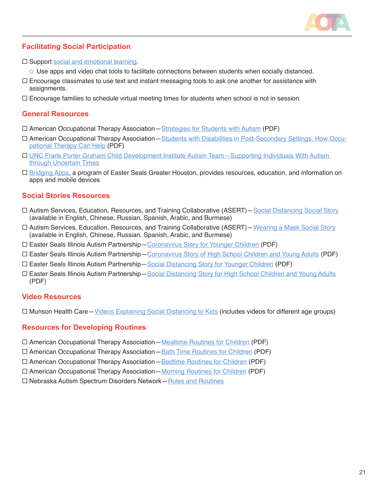

# **Facilitating Social Participation**

- $\square$  Support [social and emotional learning.](https://www.aota.org/~/media/Corporate/Files/Practice/Children/SchoolMHToolkit/Social-and-Emotional-Learning-Info-Sheet.pdf)
	- $\circ$  Use apps and video chat tools to facilitate connections between students when socially distanced.
- $\Box$  Encourage classmates to use text and instant messaging tools to ask one another for assistance with assignments.
- $\Box$  Encourage families to schedule virtual meeting times for students when school is not in session.

#### **General Resources**

- $\Box$  American Occupational Therapy Association[—Strategies for Students with Autism](https://www.aota.org/-/media/Corporate/Files/AboutOT/Professionals/WhatIsOT/CY/ASD-Tips-for-Educators-Successful-Participation-at-School.pdf) (PDF)
- American Occupational Therapy Association[—Students with Disabilities in Post-Secondary Settings: How Occu](https://www.aota.org/~/media/Corporate/Files/AboutOT/Professionals/WhatIsOT/CY/Fact-Sheets/Postsecondary-Education.pdf)[pational Therapy Can Help](https://www.aota.org/~/media/Corporate/Files/AboutOT/Professionals/WhatIsOT/CY/Fact-Sheets/Postsecondary-Education.pdf) (PDF)
- [UNC Frank Porter Graham Child Development Institute Autism Team—Supporting Individuals With Autism](https://drive.google.com/file/d/1H1BVlBbz4PUv9ZSZcjAGpOOows_SFmSi/view)  [through Uncertain Times](https://drive.google.com/file/d/1H1BVlBbz4PUv9ZSZcjAGpOOows_SFmSi/view)
- □ [Bridging Apps,](https://www.bridgingapps.org) a program of Easter Seals Greater Houston, provides resources, education, and information on apps and mobile devices

#### **Social Stories Resources**

- Autism Services, Education, Resources, and Training Collaborative (ASERT)—[Social Distancing Social Story](https://paautism.org/resource/social-distancing-social-story/) (available in English, Chinese, Russian, Spanish, Arabic, and Burmese)
- □ Autism Services, Education, Resources, and Training Collaborative (ASERT)–[Wearing a Mask Social Story](https://paautism.org/resource/wearing-mask-social-story/) (available in English, Chinese, Russian, Spanish, Arabic, and Burmese)
- □ Easter Seals Illinois Autism Partnership[—Coronavirus Story for Younger Children](https://l.ead.me/bbPKG6) (PDF)
- □ Easter Seals Illinois Autism Partnership–Coronavirus Story of High School Children and Young Adults (PDF)
- Easter Seals Illinois Autism Partnership[—Social Distancing Story for Younger Children](https://l.ead.me/bbTQWl) (PDF)
- Easter Seals Illinois Autism Partnership[—Social Distancing Story for High School Children and Young Adults](https://l.ead.me/bbTQxC) (PDF)

#### **Video Resources**

□ Munson Health Care–[Videos Explaining Social Distancing to Kids](https://www.munsonhealthcare.org/blog/explaining-social-distancing-to-kids) (includes videos for different age groups)

#### **Resources for Developing Routines**

- □ American Occupational Therapy Association[—Mealtime Routines for Children](https://www.aota.org/~/media/Corporate/Files/AboutOT/consumers/Youth/Establishing-Mealtime-Routines-for-Children-Tip-Sheet.pdf) (PDF)
- $\Box$  American Occupational Therapy Association Bath Time Routines for Children (PDF)
- $\Box$  American Occupational Therapy Association[—Bedtime Routines for Children](https://www.aota.org/~/media/Corporate/Files/AboutOT/consumers/Youth/BedroomRoutineTipSheet.pdf) (PDF)
- American Occupational Therapy Association[—Morning Routines for Children](https://www.aota.org/~/media/Corporate/Files/AboutOT/consumers/Youth/Morning%20Routine%20Tip%20Sheet.pdf) (PDF)
- $\Box$  Nebraska Autism Spectrum Disorders Network—[Rules and Routines](https://www.unl.edu/asdnetwork/virtual-strategies/rules-and-routines)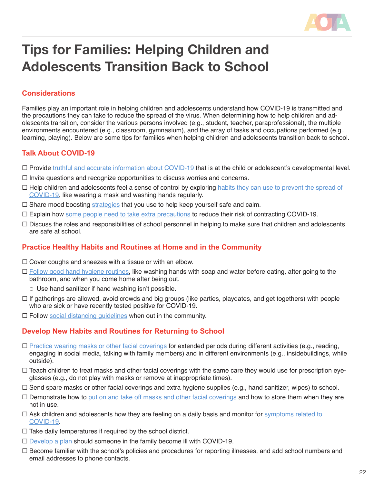

# **Tips for Families: Helping Children and Adolescents Transition Back to School**

# **Considerations**

Families play an important role in helping children and adolescents understand how COVID-19 is transmitted and the precautions they can take to reduce the spread of the virus. When determining how to help children and adolescents transition, consider the various persons involved (e.g., student, teacher, paraprofessional), the multiple environments encountered (e.g., classroom, gymnasium), and the array of tasks and occupations performed (e.g., learning, playing). Below are some tips for families when helping children and adolescents transition back to school.

#### **Talk About COVID-19**

- □ Provide [truthful and accurate information about COVID-19](https://www.cdc.gov/coronavirus/2019-ncov/daily-life-coping/share-facts.html) that is at the child or adolescent's developmental level.
- $\Box$  Invite questions and recognize opportunities to discuss worries and concerns.
- $\Box$  Help children and adolescents feel a sense of control by exploring habits they can use to prevent the spread of [COVID-19](https://www.cdc.gov/coronavirus/2019-ncov/prevent-getting-sick/prevention.html), like wearing a mask and washing hands regularly.
- $\square$  Share mood boosting [strategies](https://www.healthychildren.org/English/health-issues/conditions/COVID-19/Pages/Mood-Boosting-Tips-for-Families-COVID-19.aspx) that you use to help keep yourself safe and calm.
- $\Box$  Explain how [some people need to take extra precautions](https://www.cdc.gov/coronavirus/2019-ncov/need-extra-precautions/people-at-increased-risk.html?CDC_AA_refVal=https%3A%2F%2Fwww.cdc.gov%2Fcoronavirus%2F2019-ncov%2Fneed-extra-precautions%2Fpeople-at-higher-risk.html) to reduce their risk of contracting COVID-19.
- $\Box$  Discuss the roles and responsibilities of school personnel in helping to make sure that children and adolescents are safe at school.

# **Practice Healthy Habits and Routines at Home and in the Community**

- $\Box$  Cover coughs and sneezes with a tissue or with an elbow.
- $\Box$  [Follow good hand hygiene routines,](https://www.cdc.gov/coronavirus/2019-ncov/hcp/hand-hygiene.html) like washing hands with soap and water before eating, after going to the bathroom, and when you come home after being out.
	- $\circ$  Use hand sanitizer if hand washing isn't possible.
- If gatherings are allowed, avoid crowds and big groups (like parties, playdates, and get togethers) with people who are sick or have recently tested positive for COVID-19.
- $\Box$  Follow social distancing quidelines when out in the community.

#### **Develop New Habits and Routines for Returning to School**

- $\square$  [Practice wearing masks or other facial coverings](https://www.cdc.gov/coronavirus/2019-ncov/prevent-getting-sick/how-to-wear-cloth-face-coverings.html) for extended periods during different activities (e.g., reading, engaging in social media, talking with family members) and in different environments (e.g., insidebuildings, while outside).
- $\Box$  Teach children to treat masks and other facial coverings with the same care they would use for prescription eyeglasses (e.g., do not play with masks or remove at inappropriate times).
- $\Box$  Send spare masks or other facial coverings and extra hygiene supplies (e.g., hand sanitizer, wipes) to school.
- $\Box$  Demonstrate how to [put on and take off masks and other facial coverings](https://www.cdc.gov/coronavirus/2019-ncov/downloads/hcp/fs-facemask-dos-donts.pdf) and how to store them when they are not in use.
- $\Box$  Ask children and adolescents how they are feeling on a daily basis and monitor for symptoms related to [COVID-19](https://www.cdc.gov/coronavirus/2019-ncov/symptoms-testing/symptoms.html).
- $\Box$  Take daily temperatures if required by the school district.
- $\square$  [Develop a plan](https://www.cdc.gov/coronavirus/2019-ncov/if-you-are-sick/steps-when-sick.html) should someone in the family become ill with COVID-19.
- $\Box$  Become familiar with the school's policies and procedures for reporting illnesses, and add school numbers and email addresses to phone contacts.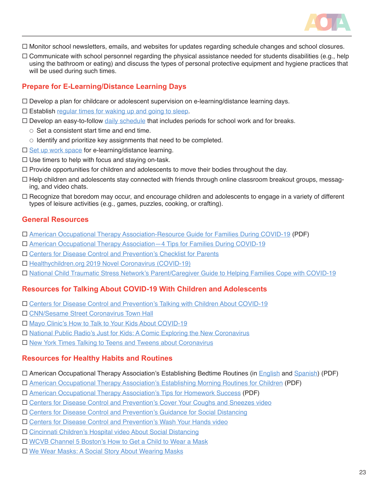

- Monitor school newsletters, emails, and websites for updates regarding schedule changes and school closures.
- $\Box$  Communicate with school personnel regarding the physical assistance needed for students disabilities (e.g., help using the bathroom or eating) and discuss the types of personal protective equipment and hygiene practices that will be used during such times.

#### **Prepare for E-Learning/Distance Learning Days**

- $\Box$  Develop a plan for childcare or adolescent supervision on e-learning/distance learning days.
- $\square$  Establish [regular times for waking up and going to sleep](https://www.aota.org/~/media/Corporate/Files/AboutOT/consumers/Youth/BedroomRoutineTipSheet).
- $\Box$  Develop an easy-to-follow [daily schedule](https://www.easterseals.com/chicago/shared-components/document-library/autism-resources/s-universal-routine-builder.pdf) that includes periods for school work and for breaks.
	- $\circ$  Set a consistent start time and end time.
	- $\circ$  Identify and prioritize key assignments that need to be completed.
- $\square$  [Set up work space](https://www.aota.org/~/media/Corporate/Files/Practice/Manage/Home-Office-Ergonomics-Tips.pdf) for e-learning/distance learning.
- $\Box$  Use timers to help with focus and staying on-task.
- $\Box$  Provide opportunities for children and adolescents to move their bodies throughout the day.
- $\Box$  Help children and adolescents stay connected with friends through online classroom breakout groups, messaging, and video chats.
- $\Box$  Recognize that boredom may occur, and encourage children and adolescents to engage in a variety of different types of leisure activities (e.g., games, puzzles, cooking, or crafting).

#### **General Resources**

- [American Occupational Therapy Association-Resource Guide for Families During COVID-19](https://www.aota.org/~/media/Corporate/Files/Practice/Health/COVID-Resource-Guide-Families-Pediatric.pdf) (PDF)
- [American Occupational Therapy Association—4 Tips for Families During COVID-19](https://www.aota.org/Publications-News/ForTheMedia/PressReleases/2020/042920-Tips-For-Families-COVID19.aspx)
- [Centers for Disease Control and Prevention's Checklist for Parents](https://www.cdc.gov/coronavirus/2019-ncov/if-you-are-sick/steps-when-sick.html)
- □ [Healthychildren.org 2019 Novel Coronavirus \(COVID-19\)](https://www.healthychildren.org/English/health-issues/conditions/COVID-19/Pages/2019-Novel-Coronavirus.aspx)
- [National Child Traumatic Stress Network's Parent/Caregiver Guide to Helping Families Cope with COVID-19](https://www.nctsn.org/resources/parent-caregiver-guide-to-helping-families-cope-with-the-coronavirus-disease-2019)

#### **Resources for Talking About COVID-19 With Children and Adolescents**

- [Centers for Disease Control and Prevention's Talking with Children About COVID-19](https://www.cdc.gov/coronavirus/2019-ncov/daily-life-coping/talking-with-children.html)
- □ [CNN/Sesame Street Coronavirus Town Hall](https://www.cnn.com/2020/04/25/app-news-section/cnn-sesame-street-coronavirus-town-hall-april-25-2020-app/index.html)
- □ [Mayo Clinic's How to Talk to Your Kids About COVID-19](https://www.mayoclinic.org/diseases-conditions/coronavirus/in-depth/kids-covid-19/art-20482508)
- [National Public Radio's Just for Kids: A Comic Exploring the New Coronavirus](https://www.npr.org/sections/goatsandsoda/2020/02/28/809580453/just-for-kids-a-comic-exploring-the-new-coronavirus)
- $\Box$  [New York Times Talking to Teens and Tweens about Coronavirus](https://www.nytimes.com/2020/03/02/well/family/coronavirus-teenagers-anxiety.html)

#### **Resources for Healthy Habits and Routines**

- American Occupational Therapy Association's Establishing Bedtime Routines (in [English](https://www.aota.org/~/media/Corporate/Files/AboutOT/consumers/Youth/BedroomRoutineTipSheet.pdf) and [Spanish\)](https://www.aota.org/~/media/Corporate/Files/AboutOT/consumers/Youth/BedtimeTipSheetSpanish) (PDF)
- [American Occupational Therapy Association's Establishing Morning Routines for Children](https://www.aota.org/~/media/Corporate/Files/AboutOT/consumers/Youth/Morning%20Routine%20Tip%20Sheet.pdf) (PDF)
- [American Occupational Therapy Association's Tips for Homework Success](https://www.aota.org/About-Occupational-Therapy/Patients-Clients/ChildrenAndYouth/Homework-Success.aspx) (PDF)
- [Centers for Disease Control and Prevention's Cover Your Coughs and Sneezes video](https://www.youtube.com/watch?v=mQINuSTP1jI)
- [Centers for Disease Control and Prevention's Guidance for Social Distancing](https://www.cdc.gov/coronavirus/2019-ncov/prevent-getting-sick/social-distancing.html)
- [Centers for Disease Control and Prevention's Wash Your Hands video](https://www.youtube.com/watch?v=qJG72sycQB8)
- □ [Cincinnati Children's Hospital video About Social Distancing](https://www.youtube.com/watch?v=KXUT62G-IcU)
- □ [WCVB Channel 5 Boston's How to Get a Child to Wear a Mask](https://www.youtube.com/watch?v=DvIxA6OF7hE)
- □ [We Wear Masks: A Social Story About Wearing Masks](https://www.youtube.com/watch?v=lnP-uMn6q_U)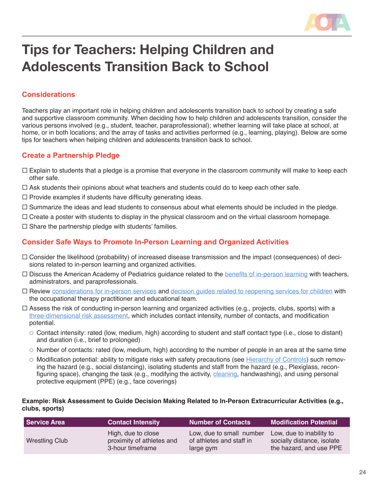

# **Tips for Teachers: Helping Children and Adolescents Transition Back to School**

# **Considerations**

Teachers play an important role in helping children and adolescents transition back to school by creating a safe and supportive classroom community. When deciding how to help children and adolescents transition, consider the various persons involved (e.g., student, teacher, paraprofessional); whether learning will take place at school, at home, or in both locations; and the array of tasks and activities performed (e.g., learning, playing). Below are some tips for teachers when helping children and adolescents transition back to school.

# **Create a Partnership Pledge**

- $\Box$  Explain to students that a pledge is a promise that everyone in the classroom community will make to keep each other safe.
- $\Box$  Ask students their opinions about what teachers and students could do to keep each other safe.
- $\Box$  Provide examples if students have difficulty generating ideas.
- $\Box$  Summarize the ideas and lead students to consensus about what elements should be included in the pledge.
- $\Box$  Create a poster with students to display in the physical classroom and on the virtual classroom homepage.
- $\square$  Share the partnership pledge with students' families.

### **Consider Safe Ways to Promote In-Person Learning and Organized Activities**

- $\Box$  Consider the likelihood (probability) of increased disease transmission and the impact (consequences) of decisions related to in-person learning and organized activities.
- $\Box$  Discuss the American Academy of Pediatrics guidance related to the [benefits of in-person learning](https://services.aap.org/en/pages/2019-novel-coronavirus-covid-19-infections/clinical-guidance/covid-19-planning-considerations-return-to-in-person-education-in-schools/) with teachers, administrators, and paraprofessionals.
- Review [considerations for in-person services](https://www.aota.org/~/media/Corporate/Files/Practice/Health/COVID-Decision-Guide-School-Based-Early-Intervention.pdf) and [decision guides related to reopening services for children](https://www.aota.org/~/media/Corporate/Files/Practice/Health/Decision-Guide-Phased-Reopening-COVID19-Pandemic.pdf) with the occupational therapy practitioner and educational team.
- $\Box$  Assess the risk of conducting in-person learning and organized activities (e.g., projects, clubs, sports) with a [three-dimensional risk assessment](https://www.centerforhealthsecurity.org/our-work/pubs_archive/pubs-pdfs/2020/200417-reopening-guidance-governors.pdf), which includes contact intensity, number of contacts, and modification potential.
	- $\circ$  Contact intensity: rated (low, medium, high) according to student and staff contact type (i.e., close to distant) and duration (i.e., brief to prolonged)
	- $\circ$  Number of contacts: rated (low, medium, high) according to the number of people in an area at the same time
	- $\circ$  Modification potential: ability to mitigate risks with safety precautions (see [Hierarchy of Controls\)](https://www.cdc.gov/niosh/topics/hierarchy/default.html) such removing the hazard (e.g., social distancing), isolating students and staff from the hazard (e.g., Plexiglass, reconfiguring space), changing the task (e.g., modifying the activity, [cleaning](https://www.cdc.gov/coronavirus/2019-ncov/community/reopen-guidance.html), handwashing), and using personal protective equipment (PPE) (e.g., face coverings)

#### **Example: Risk Assessment to Guide Decision Making Related to In-Person Extracurricular Activities (e.g., clubs, sports)**

| Service Area          | <b>Contact Intensity</b>  | <b>Number of Contacts</b> | <b>Modification Potential</b> |
|-----------------------|---------------------------|---------------------------|-------------------------------|
| <b>Wrestling Club</b> | High, due to close        | Low, due to small number  | Low, due to inability to      |
|                       | proximity of athletes and | of athletes and staff in  | socially distance, isolate    |
|                       | 3-hour timeframe          | large gym                 | the hazard, and use PPE       |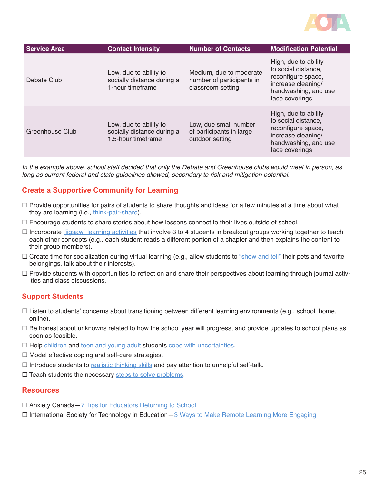

| <b>Service Area</b> | <b>Contact Intensity</b>                                                   | <b>Number of Contacts</b>                                                 | <b>Modification Potential</b>                                                                                                     |
|---------------------|----------------------------------------------------------------------------|---------------------------------------------------------------------------|-----------------------------------------------------------------------------------------------------------------------------------|
| Debate Club         | Low, due to ability to<br>socially distance during a<br>1-hour timeframe   | Medium, due to moderate<br>number of participants in<br>classroom setting | High, due to ability<br>to social distance,<br>reconfigure space,<br>increase cleaning/<br>handwashing, and use<br>face coverings |
| Greenhouse Club     | Low, due to ability to<br>socially distance during a<br>1.5-hour timeframe | Low, due small number<br>of participants in large<br>outdoor setting      | High, due to ability<br>to social distance,<br>reconfigure space,<br>increase cleaning/<br>handwashing, and use<br>face coverings |

In the example above, school staff decided that only the Debate and Greenhouse clubs would meet in person, as long as current federal and state guidelines allowed, secondary to risk and mitigation potential.

#### **Create a Supportive Community for Learning**

- $\Box$  Provide opportunities for pairs of students to share thoughts and ideas for a few minutes at a time about what they are learning (i.e., [think-pair-share](http://www.adlit.org/strategies/23277/)).
- $\Box$  Encourage students to share stories about how lessons connect to their lives outside of school.
- $\Box$  Incorporate ["jigsaw" learning activities](https://itali.uq.edu.au/files/3077/Resources-teaching-methods-jigsawtechnique.pdf) that involve 3 to 4 students in breakout groups working together to teach each other concepts (e.g., each student reads a different portion of a chapter and then explains the content to their group members).
- $\Box$  Create time for socialization during virtual learning (e.g., allow students to ["show and tell"](http://teachersmag.com/posts/zoom-based-show-and-tell-activity-for-preschoolers/#:~:text=How%20to%20Do%20a%20Zoom,first%2C%20or%20make%20it%20random.) their pets and favorite belongings, talk about their interests).
- $\Box$  Provide students with opportunities to reflect on and share their perspectives about learning through journal activities and class discussions.

#### **Support Students**

- Listen to students' concerns about transitioning between different learning environments (e.g., school, home, online).
- $\Box$  Be honest about unknowns related to how the school year will progress, and provide updates to school plans as soon as feasible.
- $\Box$  Help [children](https://www.cdc.gov/coronavirus/2019-ncov/daily-life-coping/for-parents.html) and [teen and young adult](https://www.cdc.gov/coronavirus/2019-ncov/daily-life-coping/stress-coping/young-adults.html) students [cope with uncertainties](https://www.anxietycanada.com/sites/default/files/ToleratingUncertainty.pdf).
- $\Box$  Model effective coping and self-care strategies.
- $\Box$  Introduce students to [realistic thinking skills](https://www.anxietycanada.com/sites/default/files/RealisticThinking.pdf) and pay attention to unhelpful self-talk.
- $\square$  Teach students the necessary [steps to solve problems](https://www.anxietycanada.com/articles/how-to-solve-daily-life-problems/).

- □ Anxiety Canada [7 Tips for Educators Returning to School](https://www.anxietycanada.com/articles/7-tips-for-educators-returning-to-school-during-covid-19/)
- $\Box$  International Society for Technology in Education  $-3$  Ways to Make Remote Learning More Engaging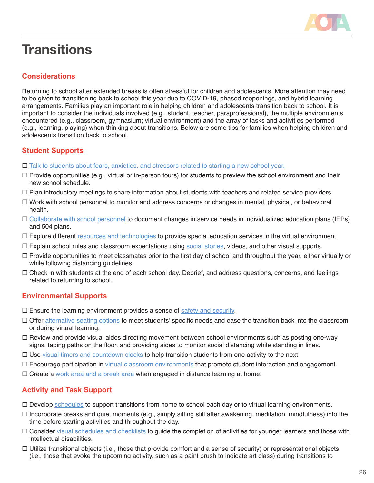

# **Transitions**

# **Considerations**

Returning to school after extended breaks is often stressful for children and adolescents. More attention may need to be given to transitioning back to school this year due to COVID-19, phased reopenings, and hybrid learning arrangements. Families play an important role in helping children and adolescents transition back to school. It is important to consider the individuals involved (e.g., student, teacher, paraprofessional), the multiple environments encountered (e.g., classroom, gymnasium; virtual environment) and the array of tasks and activities performed (e.g., learning, playing) when thinking about transitions. Below are some tips for families when helping children and adolescents transition back to school.

# **Student Supports**

- $\Box$  [Talk to students about fears, anxieties, and stressors related to starting a new school year.](https://www.aota.org/~/media/Corporate/Files/Practice/back-to-school/Mental-Health-Behavior-and-Well-being.pdf)
- $\Box$  Provide opportunities (e.g., virtual or in-person tours) for students to preview the school environment and their new school schedule.
- $\Box$  Plan introductory meetings to share information about students with teachers and related service providers.
- $\Box$  Work with school personnel to monitor and address concerns or changes in mental, physical, or behavioral health.
- [Collaborate with school personnel](https://hschealth.org/sites/default/files/partnering-with-schools-guide-english.pdf) to document changes in service needs in individualized education plans (IEPs) and 504 plans.
- $\Box$  Explore different [resources and technologies](https://www.ncsecs.org/press/new-website-offers-tips-for-teachers-about-virtual-special-education/) to provide special education services in the virtual environment.
- □ Explain school rules and classroom expectations using [social stories](https://www.easterseals.com/shared-components/document-library/back-to-school-social-story.pdf), videos, and other visual supports.
- $\Box$  Provide opportunities to meet classmates prior to the first day of school and throughout the year, either virtually or while following distancing guidelines.
- $\Box$  Check in with students at the end of each school day. Debrief, and address questions, concerns, and feelings related to returning to school.

# **Environmental Supports**

- $\Box$  Ensure the learning environment provides a sense of [safety and security](https://www.aota.org/~/media/Corporate/Files/Practice/back-to-school/Mental-Health-Behavior-and-Well-being.pdf).
- $\Box$  Offer [alternative seating options](https://www.aota.org/~/media/Corporate/Files/Practice/back-to-school/Classroom-Set-up.pdf) to meet students' specific needs and ease the transition back into the classroom or during virtual learning.
- $\Box$  Review and provide visual aides directing movement between school environments such as posting one-way signs, taping paths on the floor, and providing aides to monitor social distancing while standing in lines.
- $\Box$  Use [visual timers and countdown clocks](https://www.iidc.indiana.edu/irca/articles/transition-time-helping-individuals-on-the-autism-spectrum-move-successfully-from-one-activity-to-another) to help transition students from one activity to the next.
- □ Encourage participation in [virtual classroom environments](https://www.responsiveclassroom.org/maintaining-a-positive-community-remotely/) that promote student interaction and engagement.
- $\Box$  Create a [work area and a break area](https://www.ocali.org/project/resource_gallery_of_interventions/page/home_base) when engaged in distance learning at home.

# **Activity and Task Support**

- $\Box$  Develop [schedules](https://www.pbisworld.com/tier-2/individual-visual-schedules/) to support transitions from home to school each day or to virtual learning environments.
- $\Box$  Incorporate breaks and quiet moments (e.g., simply sitting still after awakening, meditation, mindfulness) into the time before starting activities and throughout the day.
- Consider [visual schedules and checklists](https://ed-psych.utah.edu/school-psych/_documents/grants/autism-training-grant/Visual-Schedules-Practical-Guide-for-Families.pdf) to guide the completion of activities for younger learners and those with intellectual disabilities.
- $\Box$  Utilize transitional objects (i.e., those that provide comfort and a sense of security) or representational objects (i.e., those that evoke the upcoming activity, such as a paint brush to indicate art class) during transitions to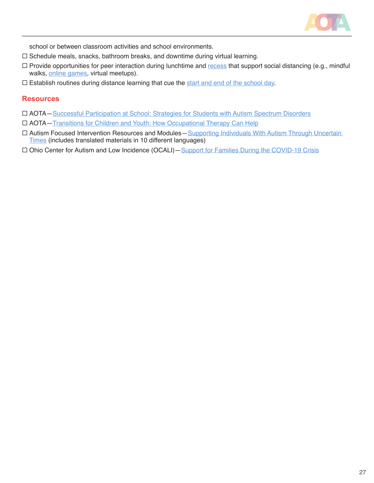

school or between classroom activities and school environments.

- $\Box$  Schedule meals, snacks, bathroom breaks, and downtime during virtual learning.
- $\Box$  Provide opportunities for peer interaction during lunchtime and [recess](https://everymomentcounts.org/view.php?nav_id=62) that support social distancing (e.g., mindful walks, [online games,](https://kahoot.com) virtual meetups).
- $\square$  Establish routines during distance learning that cue the [start and end of the school day.](https://www.iidc.indiana.edu/irca/articles/transition-time-helping-individuals-on-the-autism-spectrum-move-successfully-from-one-activity-to-another)

- AOTA[—Successful Participation at School: Strategies for Students with Autism Spectrum Disorders](https://www.aota.org/~/media/Corporate/Files/AboutOT/Professionals/WhatIsOT/CY/ASD-Tips-for-Educators-Successful-Participation-at-School.pdf)
- AOTA[—Transitions for Children and Youth: How Occupational Therapy Can Help](https://www.aota.org/~/media/Corporate/Files/AboutOT/Professionals/WhatIsOT/CY/Fact-Sheets/Transitions.pdf)
- □ Autism Focused Intervention Resources and Modules–Supporting Individuals With Autism Through Uncertain [Times](https://afirm.fpg.unc.edu/supporting-individuals-autism-through-uncertain-times) (includes translated materials in 10 different languages)
- □ Ohio Center for Autism and Low Incidence (OCALI) [Support for Families During the COVID-19 Crisis](https://www.ocali.org/project/resource_gallery_of_interventions/page/to-support-families-during-the-COVID-19-crisis?fbclid=IwAR1Z8x2DqfJTNKvIcHCBEePi6yUKRRDnOixXwhD1nYTMhWiCkK3g3s2B4mw)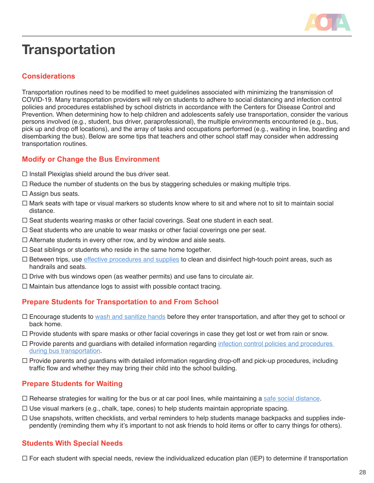

# **Transportation**

# **Considerations**

Transportation routines need to be modified to meet guidelines associated with minimizing the transmission of COVID-19. Many transportation providers will rely on students to adhere to social distancing and infection control policies and procedures established by school districts in accordance with the Centers for Disease Control and Prevention. When determining how to help children and adolescents safely use transportation, consider the various persons involved (e.g., student, bus driver, paraprofessional), the multiple environments encountered (e.g., bus, pick up and drop off locations), and the array of tasks and occupations performed (e.g., waiting in line, boarding and disembarking the bus). Below are some tips that teachers and other school staff may consider when addressing transportation routines.

#### **Modify or Change the Bus Environment**

- $\Box$  Install Plexiglas shield around the bus driver seat.
- $\Box$  Reduce the number of students on the bus by staggering schedules or making multiple trips.
- $\Box$  Assign bus seats.
- Mark seats with tape or visual markers so students know where to sit and where not to sit to maintain social distance.
- $\Box$  Seat students wearing masks or other facial coverings. Seat one student in each seat.
- $\Box$  Seat students who are unable to wear masks or other facial coverings one per seat.
- $\Box$  Alternate students in every other row, and by window and aisle seats.
- $\Box$  Seat siblings or students who reside in the same home together.
- $\Box$  Between trips, use [effective procedures and supplies](https://www.cdc.gov/coronavirus/2019-ncov/community/organizations/disinfecting-transport-vehicles.html) to clean and disinfect high-touch point areas, such as handrails and seats.
- $\Box$  Drive with bus windows open (as weather permits) and use fans to circulate air.
- $\Box$  Maintain bus attendance logs to assist with possible contact tracing.

# **Prepare Students for Transportation to and From School**

- $\Box$  Encourage students to <u>wash and sanitize hands</u> before they enter transportation, and after they get to school or back home.
- $\Box$  Provide students with spare masks or other facial coverings in case they get lost or wet from rain or snow.
- $\Box$  Provide parents and quardians with detailed information regarding infection control policies and procedures [during bus transportation](https://www.stsigjpa.com/resources/loss-prevention/cleaning-schoolbus-pdf/).
- $\Box$  Provide parents and guardians with detailed information regarding drop-off and pick-up procedures, including traffic flow and whether they may bring their child into the school building.

# **Prepare Students for Waiting**

- $\Box$  Rehearse strategies for waiting for the bus or at car pool lines, while maintaining a [safe social distance.](https://www.youtube.com/watch?v=KXUT62G-IcU)
- $\Box$  Use visual markers (e.g., chalk, tape, cones) to help students maintain appropriate spacing.
- $\Box$  Use snapshots, written checklists, and verbal reminders to help students manage backpacks and supplies independently (reminding them why it's important to not ask friends to hold items or offer to carry things for others).

# **Students With Special Needs**

 $\Box$  For each student with special needs, review the individualized education plan (IEP) to determine if transportation